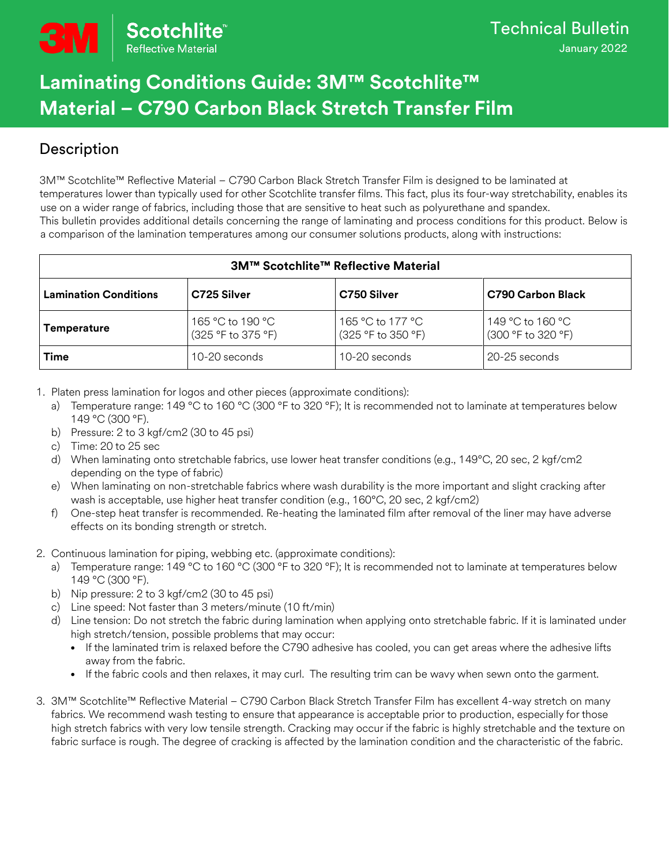# **Laminating Conditions Guide: 3M™ Scotchlite™ Material – C790 Carbon Black Stretch Transfer Film**

## Description

3M™ Scotchlite™ Reflective Material – C790 Carbon Black Stretch Transfer Film is designed to be laminated at temperatures lower than typically used for other Scotchlite transfer films. This fact, plus its four-way stretchability, enables its use on a wider range of fabrics, including those that are sensitive to heat such as polyurethane and spandex. This bulletin provides additional details concerning the range of laminating and process conditions for this product. Below is a comparison of the lamination temperatures among our consumer solutions products, along with instructions:

| <b>3M™ Scotchlite™ Reflective Material</b> |                                        |                                        |                                        |
|--------------------------------------------|----------------------------------------|----------------------------------------|----------------------------------------|
| <b>Lamination Conditions</b>               | C725 Silver                            | C750 Silver                            | <b>C790 Carbon Black</b>               |
| <b>Temperature</b>                         | 165 °C to 190 °C<br>(325 °F to 375 °F) | 165 °C to 177 °C<br>(325 °F to 350 °F) | 149 °C to 160 °C<br>(300 °F to 320 °F) |
| Time                                       | 10-20 seconds                          | $10-20$ seconds                        | 20-25 seconds                          |

1. Platen press lamination for logos and other pieces (approximate conditions):

- a) Temperature range: 149 °C to 160 °C (300 °F to 320 °F); It is recommended not to laminate at temperatures below 149 °C (300 °F).
- b) Pressure: 2 to 3 kgf/cm2 (30 to 45 psi)
- c) Time: 20 to 25 sec
- d) When laminating onto stretchable fabrics, use lower heat transfer conditions (e.g., 149°C, 20 sec, 2 kgf/cm2 depending on the type of fabric)
- e) When laminating on non-stretchable fabrics where wash durability is the more important and slight cracking after wash is acceptable, use higher heat transfer condition (e.g., 160°C, 20 sec, 2 kgf/cm2)
- f) One-step heat transfer is recommended. Re-heating the laminated film after removal of the liner may have adverse effects on its bonding strength or stretch.
- 2. Continuous lamination for piping, webbing etc. (approximate conditions):
	- a) Temperature range: 149 °C to 160 °C (300 °F to 320 °F); It is recommended not to laminate at temperatures below 149 °C (300 °F).
	- b) Nip pressure: 2 to 3 kgf/cm2 (30 to 45 psi)
	- c) Line speed: Not faster than 3 meters/minute (10 ft/min)
	- d) Line tension: Do not stretch the fabric during lamination when applying onto stretchable fabric. If it is laminated under high stretch/tension, possible problems that may occur:
		- If the laminated trim is relaxed before the C790 adhesive has cooled, you can get areas where the adhesive lifts away from the fabric.
		- If the fabric cools and then relaxes, it may curl. The resulting trim can be wavy when sewn onto the garment.
- 3. 3M™ Scotchlite™ Reflective Material C790 Carbon Black Stretch Transfer Film has excellent 4-way stretch on many fabrics. We recommend wash testing to ensure that appearance is acceptable prior to production, especially for those high stretch fabrics with very low tensile strength. Cracking may occur if the fabric is highly stretchable and the texture on fabric surface is rough. The degree of cracking is affected by the lamination condition and the characteristic of the fabric.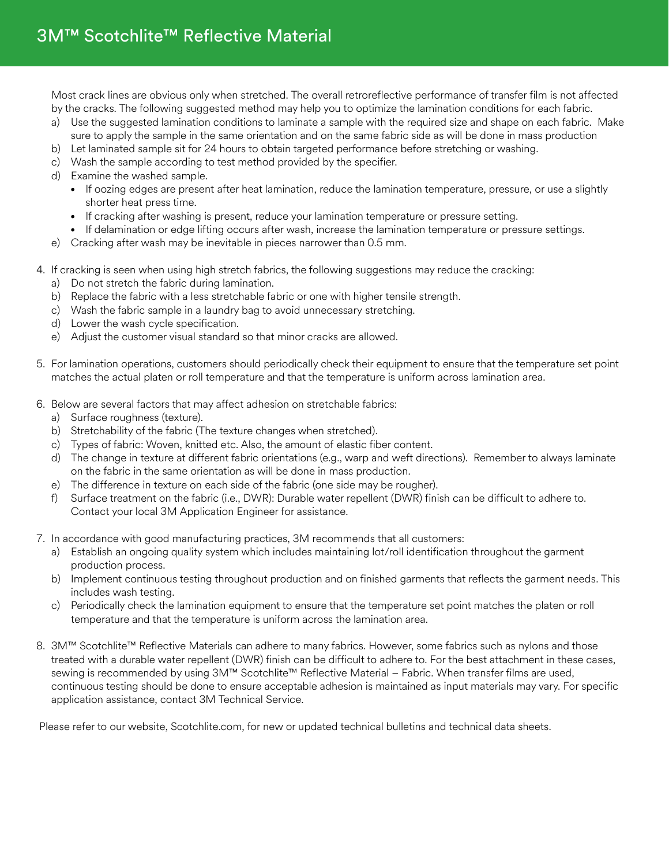Most crack lines are obvious only when stretched. The overall retroreflective performance of transfer film is not affected by the cracks. The following suggested method may help you to optimize the lamination conditions for each fabric.

- a) Use the suggested lamination conditions to laminate a sample with the required size and shape on each fabric. Make sure to apply the sample in the same orientation and on the same fabric side as will be done in mass production
- b) Let laminated sample sit for 24 hours to obtain targeted performance before stretching or washing.
- c) Wash the sample according to test method provided by the specifier.
- d) Examine the washed sample.
	- If oozing edges are present after heat lamination, reduce the lamination temperature, pressure, or use a slightly shorter heat press time.
	- If cracking after washing is present, reduce your lamination temperature or pressure setting.
	- If delamination or edge lifting occurs after wash, increase the lamination temperature or pressure settings.
- e) Cracking after wash may be inevitable in pieces narrower than 0.5 mm.
- 4. If cracking is seen when using high stretch fabrics, the following suggestions may reduce the cracking:
	- a) Do not stretch the fabric during lamination.
	- b) Replace the fabric with a less stretchable fabric or one with higher tensile strength.
	- c) Wash the fabric sample in a laundry bag to avoid unnecessary stretching.
	- d) Lower the wash cycle specification.
	- e) Adjust the customer visual standard so that minor cracks are allowed.
- 5. For lamination operations, customers should periodically check their equipment to ensure that the temperature set point matches the actual platen or roll temperature and that the temperature is uniform across lamination area.
- 6. Below are several factors that may affect adhesion on stretchable fabrics:
	- a) Surface roughness (texture).
	- b) Stretchability of the fabric (The texture changes when stretched).
	- c) Types of fabric: Woven, knitted etc. Also, the amount of elastic fiber content.
	- d) The change in texture at different fabric orientations (e.g., warp and weft directions). Remember to always laminate on the fabric in the same orientation as will be done in mass production.
	- e) The difference in texture on each side of the fabric (one side may be rougher).
	- f) Surface treatment on the fabric (i.e., DWR): Durable water repellent (DWR) finish can be difficult to adhere to. Contact your local 3M Application Engineer for assistance.
- 7. In accordance with good manufacturing practices, 3M recommends that all customers:
	- a) Establish an ongoing quality system which includes maintaining lot/roll identification throughout the garment production process.
	- b) Implement continuous testing throughout production and on finished garments that reflects the garment needs. This includes wash testing.
	- c) Periodically check the lamination equipment to ensure that the temperature set point matches the platen or roll temperature and that the temperature is uniform across the lamination area.
- 8. 3M™ Scotchlite™ Reflective Materials can adhere to many fabrics. However, some fabrics such as nylons and those treated with a durable water repellent (DWR) finish can be difficult to adhere to. For the best attachment in these cases, sewing is recommended by using 3M™ Scotchlite™ Reflective Material - Fabric. When transfer films are used, continuous testing should be done to ensure acceptable adhesion is maintained as input materials may vary. For specific application assistance, contact 3M Technical Service.

Please refer to our website, Scotchlite.com, for new or updated technical bulletins and technical data sheets.